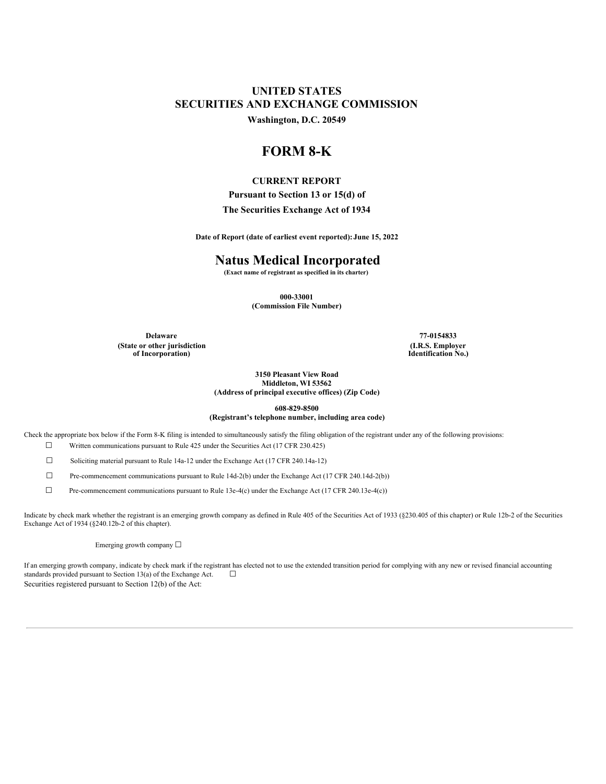# **UNITED STATES SECURITIES AND EXCHANGE COMMISSION**

**Washington, D.C. 20549**

# **FORM 8-K**

# **CURRENT REPORT**

**Pursuant to Section 13 or 15(d) of**

### **The Securities Exchange Act of 1934**

**Date of Report (date of earliest event reported): June 15, 2022**

# **Natus Medical Incorporated**

**(Exact name of registrant as specified in its charter)**

**000-33001 (Commission File Number)**

**Delaware 77-0154833 (State or other jurisdiction of Incorporation)**

**(I.R.S. Employer Identification No.)**

#### **3150 Pleasant View Road Middleton, WI 53562 (Address of principal executive offices) (Zip Code)**

**608-829-8500**

### **(Registrant's telephone number, including area code)**

Check the appropriate box below if the Form 8-K filing is intended to simultaneously satisfy the filing obligation of the registrant under any of the following provisions:

☐ Written communications pursuant to Rule 425 under the Securities Act (17 CFR 230.425)

☐ Soliciting material pursuant to Rule 14a-12 under the Exchange Act (17 CFR 240.14a-12)

 $\Box$  Pre-commencement communications pursuant to Rule 14d-2(b) under the Exchange Act (17 CFR 240.14d-2(b))

☐ Pre-commencement communications pursuant to Rule 13e-4(c) under the Exchange Act (17 CFR 240.13e-4(c))

Indicate by check mark whether the registrant is an emerging growth company as defined in Rule 405 of the Securities Act of 1933 (§230.405 of this chapter) or Rule 12b-2 of the Securities Exchange Act of 1934 (§240.12b-2 of this chapter).

Emerging growth company ☐

If an emerging growth company, indicate by check mark if the registrant has elected not to use the extended transition period for complying with any new or revised financial accounting standards provided pursuant to Section 13(a) of the Exchange Act.  $\Box$ Securities registered pursuant to Section 12(b) of the Act: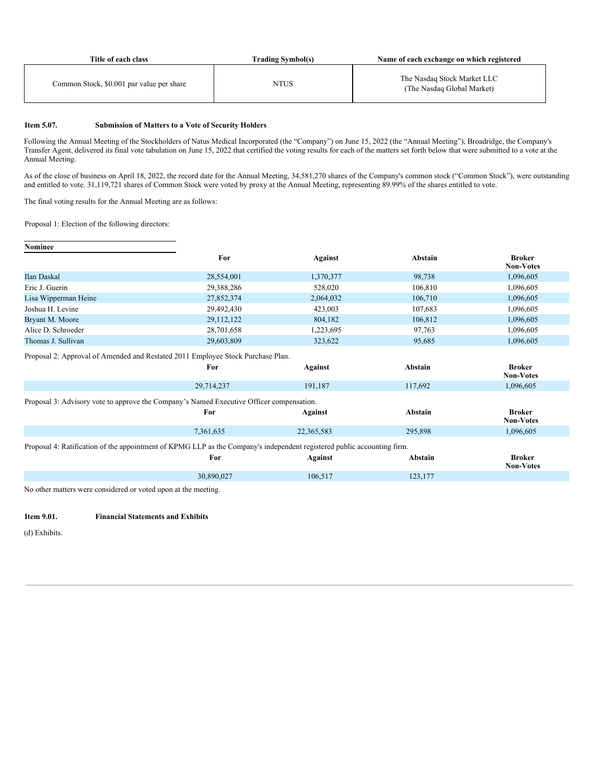| Title of each class                       | <b>Trading Symbol(s)</b> | Name of each exchange on which registered                 |
|-------------------------------------------|--------------------------|-----------------------------------------------------------|
| Common Stock, \$0.001 par value per share | NTUS                     | The Nasdaq Stock Market LLC<br>(The Nasdaq Global Market) |

#### **Item 5.07. Submission of Matters to a Vote of Security Holders**

Following the Annual Meeting of the Stockholders of Natus Medical Incorporated (the "Company") on June 15, 2022 (the "Annual Meeting"), Broadridge, the Company's Transfer Agent, delivered its final vote tabulation on June 15, 2022 that certified the voting results for each of the matters set forth below that were submitted to a vote at the Annual Meeting.

As of the close of business on April 18, 2022, the record date for the Annual Meeting, 34,581,270 shares of the Company's common stock ("Common Stock"), were outstanding and entitled to vote. 31,119,721 shares of Common Stock were voted by proxy at the Annual Meeting, representing 89.99% of the shares entitled to vote.

The final voting results for the Annual Meeting are as follows:

Proposal 1: Election of the following directors:

| <b>Nominee</b>                                                                                                          |            |                |         |                                   |
|-------------------------------------------------------------------------------------------------------------------------|------------|----------------|---------|-----------------------------------|
|                                                                                                                         | For        | <b>Against</b> | Abstain | <b>Broker</b><br><b>Non-Votes</b> |
| Ilan Daskal                                                                                                             | 28,554,001 | 1,370,377      | 98,738  | 1,096,605                         |
| Eric J. Guerin                                                                                                          | 29,388,286 | 528,020        | 106,810 | 1,096,605                         |
| Lisa Wipperman Heine                                                                                                    | 27,852,374 | 2,064,032      | 106,710 | 1,096,605                         |
| Joshua H. Levine                                                                                                        | 29,492,430 | 423,003        | 107,683 | 1,096,605                         |
| Bryant M. Moore                                                                                                         | 29,112,122 | 804,182        | 106,812 | 1,096,605                         |
| Alice D. Schroeder                                                                                                      | 28,701,658 | 1,223,695      | 97,763  | 1,096,605                         |
| Thomas J. Sullivan                                                                                                      | 29,603,809 | 323,622        | 95,685  | 1,096,605                         |
| Proposal 2: Approval of Amended and Restated 2011 Employee Stock Purchase Plan.                                         |            |                |         |                                   |
|                                                                                                                         | For        | <b>Against</b> | Abstain | <b>Broker</b><br><b>Non-Votes</b> |
|                                                                                                                         |            |                |         |                                   |
|                                                                                                                         | 29,714,237 | 191,187        | 117,692 | 1,096,605                         |
| Proposal 3: Advisory vote to approve the Company's Named Executive Officer compensation.                                |            |                |         |                                   |
|                                                                                                                         | For        | <b>Against</b> | Abstain | <b>Broker</b><br><b>Non-Votes</b> |
|                                                                                                                         | 7,361,635  | 22,365,583     | 295,898 | 1,096,605                         |
| Proposal 4: Ratification of the appointment of KPMG LLP as the Company's independent registered public accounting firm. |            |                |         |                                   |
|                                                                                                                         | For        | Against        | Abstain | <b>Broker</b><br><b>Non-Votes</b> |

No other matters were considered or voted upon at the meeting.

## **Item 9.01. Financial Statements and Exhibits**

(d) Exhibits.